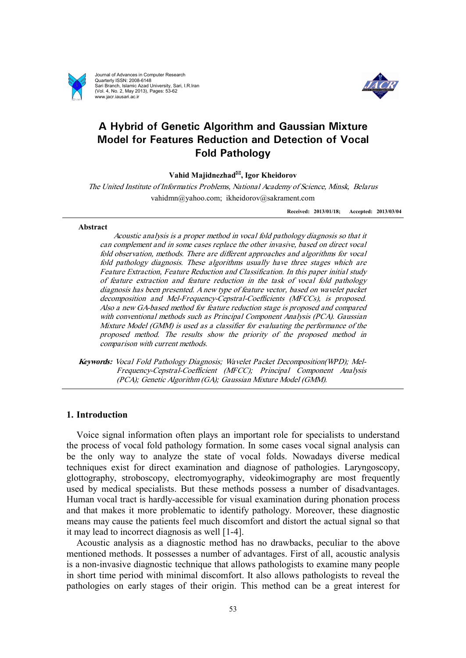

Journal of Advances in Computer Research Quarterly ISSN: 2008-6148 Sari Branch, Islamic Azad University, Sari, I.R.Iran (Vol. 4, No. 2, May 2013), Pages: 53-62 www.jacr.iausari.ac.ir



# **A Hybrid of Genetic Algorithm and Gaussian Mixture Model for Features Reduction and Detection of Vocal Fold Pathology**

# **Vahid Majidnezhad\*, Igor Kheidorov**

*The United Institute of Informatics Problems, National Academy of Science, Minsk, Belarus*  vahidmn@yahoo.com; ikheidorov@sakrament.com

**Received: 2013/01/18; Accepted: 2013/03/04**

#### **Abstract**

*Acoustic analysis is <sup>a</sup> proper method in vocal fold pathology diagnosis so that it can complement and in some cases replace the other invasive, based on direct vocal fold observation, methods. There are different approaches and algorithms for vocal fold pathology diagnosis. These algorithms usually have three stages which are Feature Extraction, Feature Reduction and Classification. In this paper initial study of feature extraction and feature reduction in the task of vocal fold pathology diagnosis has been presented. A new type of feature vector, based on wavelet packet decomposition and Mel-Frequency-Cepstral-Coefficients (MFCCs), is proposed. Also <sup>a</sup> new GA-based method for feature reduction stage is proposed and compared with conventional methods such as Principal Component Analysis (PCA). Gaussian Mixture Model (GMM) is used as a classifier for evaluating the performance of the proposed method. The results show the priority of the proposed method in comparison with current methods.* 

*Keywords: Vocal Fold Pathology Diagnosis; Wavelet Packet Decomposition(WPD); Mel-Frequency-Cepstral-Coefficient (MFCC); Principal Component Analysis (PCA); Genetic Algorithm (GA); Gaussian Mixture Model (GMM).* 

## **1. Introduction**

Voice signal information often plays an important role for specialists to understand the process of vocal fold pathology formation. In some cases vocal signal analysis can be the only way to analyze the state of vocal folds. Nowadays diverse medical techniques exist for direct examination and diagnose of pathologies. Laryngoscopy, glottography, stroboscopy, electromyography, videokimography are most frequently used by medical specialists. But these methods possess a number of disadvantages. Human vocal tract is hardly-accessible for visual examination during phonation process and that makes it more problematic to identify pathology. Moreover, these diagnostic means may cause the patients feel much discomfort and distort the actual signal so that it may lead to incorrect diagnosis as well [1-4].

Acoustic analysis as a diagnostic method has no drawbacks, peculiar to the above mentioned methods. It possesses a number of advantages. First of all, acoustic analysis is a non-invasive diagnostic technique that allows pathologists to examine many people in short time period with minimal discomfort. It also allows pathologists to reveal the pathologies on early stages of their origin. This method can be a great interest for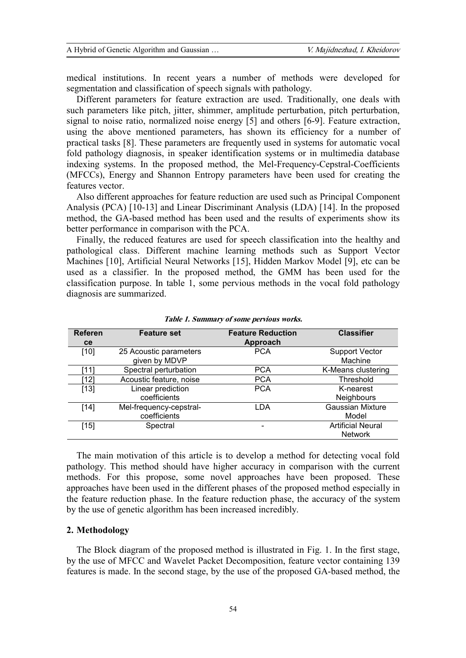medical institutions. In recent years a number of methods were developed for segmentation and classification of speech signals with pathology.

Different parameters for feature extraction are used. Traditionally, one deals with such parameters like pitch, jitter, shimmer, amplitude perturbation, pitch perturbation, signal to noise ratio, normalized noise energy [5] and others [6-9]. Feature extraction, using the above mentioned parameters, has shown its efficiency for a number of practical tasks [8]. These parameters are frequently used in systems for automatic vocal fold pathology diagnosis, in speaker identification systems or in multimedia database indexing systems. In the proposed method, the Mel-Frequency-Cepstral-Coefficients (MFCCs), Energy and Shannon Entropy parameters have been used for creating the features vector.

Also different approaches for feature reduction are used such as Principal Component Analysis (PCA) [10-13] and Linear Discriminant Analysis (LDA) [14]. In the proposed method, the GA-based method has been used and the results of experiments show its better performance in comparison with the PCA.

Finally, the reduced features are used for speech classification into the healthy and pathological class. Different machine learning methods such as Support Vector Machines [10], Artificial Neural Networks [15], Hidden Markov Model [9], etc can be used as a classifier. In the proposed method, the GMM has been used for the classification purpose. In table 1, some pervious methods in the vocal fold pathology diagnosis are summarized.

| <b>Referen</b> | <b>Feature set</b>      | <b>Feature Reduction</b> | <b>Classifier</b>        |
|----------------|-------------------------|--------------------------|--------------------------|
| <b>ce</b>      |                         | Approach                 |                          |
| $[10]$         | 25 Acoustic parameters  | <b>PCA</b>               | <b>Support Vector</b>    |
|                | given by MDVP           |                          | Machine                  |
| 111            | Spectral perturbation   | <b>PCA</b>               | K-Means clustering       |
| '121           | Acoustic feature, noise | <b>PCA</b>               | Threshold                |
| [13]           | Linear prediction       | <b>PCA</b>               | K-nearest                |
|                | coefficients            |                          | <b>Neighbours</b>        |
| $[14]$         | Mel-frequency-cepstral- | LDA                      | Gaussian Mixture         |
|                | coefficients            |                          | Model                    |
| [15]           | Spectral                |                          | <b>Artificial Neural</b> |
|                |                         |                          | <b>Network</b>           |
|                |                         |                          |                          |

#### *Table 1. Summary of some pervious works.*

The main motivation of this article is to develop a method for detecting vocal fold pathology. This method should have higher accuracy in comparison with the current methods. For this propose, some novel approaches have been proposed. These approaches have been used in the different phases of the proposed method especially in the feature reduction phase. In the feature reduction phase, the accuracy of the system by the use of genetic algorithm has been increased incredibly.

## **2. Methodology**

The Block diagram of the proposed method is illustrated in Fig. 1. In the first stage, by the use of MFCC and Wavelet Packet Decomposition, feature vector containing 139 features is made. In the second stage, by the use of the proposed GA-based method, the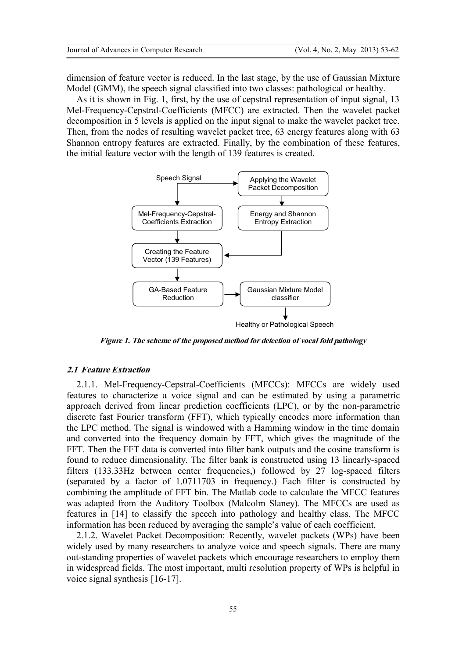dimension of feature vector is reduced. In the last stage, by the use of Gaussian Mixture Model (GMM), the speech signal classified into two classes: pathological or healthy.

As it is shown in Fig. 1, first, by the use of cepstral representation of input signal, 13 Mel-Frequency-Cepstral-Coefficients (MFCC) are extracted. Then the wavelet packet decomposition in 5 levels is applied on the input signal to make the wavelet packet tree. Then, from the nodes of resulting wavelet packet tree, 63 energy features along with 63 Shannon entropy features are extracted. Finally, by the combination of these features, the initial feature vector with the length of 139 features is created.



*Figure 1. The scheme of the proposed method for detection of vocal fold pathology* 

#### *2.1 Feature Extraction*

2.1.1. Mel-Frequency-Cepstral-Coefficients (MFCCs): MFCCs are widely used features to characterize a voice signal and can be estimated by using a parametric approach derived from linear prediction coefficients (LPC), or by the non-parametric discrete fast Fourier transform (FFT), which typically encodes more information than the LPC method. The signal is windowed with a Hamming window in the time domain and converted into the frequency domain by FFT, which gives the magnitude of the FFT. Then the FFT data is converted into filter bank outputs and the cosine transform is found to reduce dimensionality. The filter bank is constructed using 13 linearly-spaced filters (133.33Hz between center frequencies,) followed by 27 log-spaced filters (separated by a factor of 1.0711703 in frequency.) Each filter is constructed by combining the amplitude of FFT bin. The Matlab code to calculate the MFCC features was adapted from the Auditory Toolbox (Malcolm Slaney). The MFCCs are used as features in [14] to classify the speech into pathology and healthy class. The MFCC information has been reduced by averaging the sample's value of each coefficient.

2.1.2. Wavelet Packet Decomposition: Recently, wavelet packets (WPs) have been widely used by many researchers to analyze voice and speech signals. There are many out-standing properties of wavelet packets which encourage researchers to employ them in widespread fields. The most important, multi resolution property of WPs is helpful in voice signal synthesis [16-17].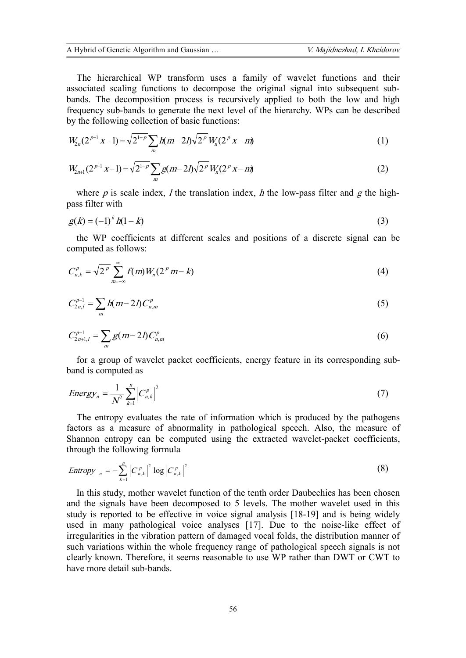The hierarchical WP transform uses a family of wavelet functions and their associated scaling functions to decompose the original signal into subsequent subbands. The decomposition process is recursively applied to both the low and high frequency sub-bands to generate the next level of the hierarchy. WPs can be described by the following collection of basic functions:

$$
W_{2n}(2^{p-1} x - 1) = \sqrt{2^{1-p}} \sum_{m} h(m - 2l) \sqrt{2^p} W_n(2^p x - m)
$$
 (1)

$$
W_{2n+1}(2^{p-1} x - 1) = \sqrt{2^{1-p}} \sum_{m} g(m - 2I) \sqrt{2^p} W_n(2^p x - m)
$$
 (2)

where *p* is scale index, *l* the translation index, *h* the low-pass filter and *g* the highpass filter with

$$
g(k) = (-1)^k h(1 - k)
$$
 (3)

the WP coefficients at different scales and positions of a discrete signal can be computed as follows:

$$
C_{n,k}^p = \sqrt{2^p} \sum_{m=-\infty}^{\infty} f(m) W_n(2^p m - k)
$$
 (4)

$$
C_{2n,l}^{p-1} = \sum_{m} h(m-2l) C_{n,m}^p
$$
\n(5)

$$
C_{2n+1,l}^{p-1} = \sum_{m} g(m-2l) C_{n,m}^p
$$
\n(6)

for a group of wavelet packet coefficients, energy feature in its corresponding subband is computed as

$$
Energy_n = \frac{1}{N^2} \sum_{k=1}^n \left| C_{n,k}^p \right|^2 \tag{7}
$$

The entropy evaluates the rate of information which is produced by the pathogens factors as a measure of abnormality in pathological speech. Also, the measure of Shannon entropy can be computed using the extracted wavelet-packet coefficients, through the following formula

Entropy 
$$
_n = -\sum_{k=1}^n |C_{n,k}^p|^2 \log |C_{n,k}^p|^2
$$
 (8)

In this study, mother wavelet function of the tenth order Daubechies has been chosen and the signals have been decomposed to 5 levels. The mother wavelet used in this study is reported to be effective in voice signal analysis [18-19] and is being widely used in many pathological voice analyses [17]. Due to the noise-like effect of irregularities in the vibration pattern of damaged vocal folds, the distribution manner of such variations within the whole frequency range of pathological speech signals is not clearly known. Therefore, it seems reasonable to use WP rather than DWT or CWT to have more detail sub-bands.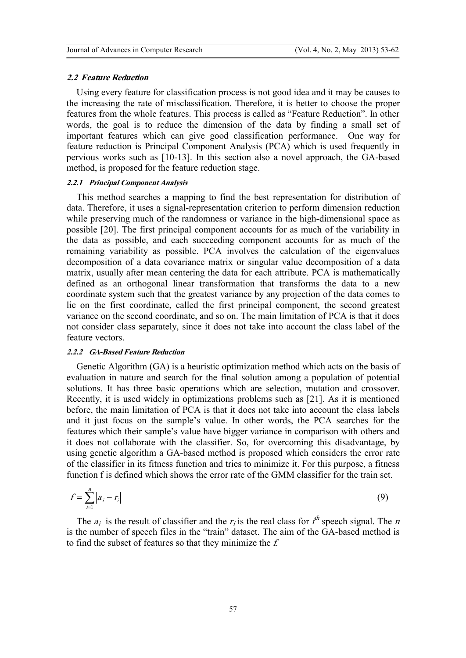#### *2.2 Feature Reduction*

Using every feature for classification process is not good idea and it may be causes to the increasing the rate of misclassification. Therefore, it is better to choose the proper features from the whole features. This process is called as "Feature Reduction". In other words, the goal is to reduce the dimension of the data by finding a small set of important features which can give good classification performance. One way for feature reduction is Principal Component Analysis (PCA) which is used frequently in pervious works such as [10-13]. In this section also a novel approach, the GA-based method, is proposed for the feature reduction stage.

## *2.2.1 Principal Component Analysis*

This method searches a mapping to find the best representation for distribution of data. Therefore, it uses a signal-representation criterion to perform dimension reduction while preserving much of the randomness or variance in the high-dimensional space as possible [20]. The first principal component accounts for as much of the variability in the data as possible, and each succeeding component accounts for as much of the remaining variability as possible. PCA involves the calculation of the eigenvalues decomposition of a data covariance matrix or singular value decomposition of a data matrix, usually after mean centering the data for each attribute. PCA is mathematically defined as an orthogonal linear transformation that transforms the data to a new coordinate system such that the greatest variance by any projection of the data comes to lie on the first coordinate, called the first principal component, the second greatest variance on the second coordinate, and so on. The main limitation of PCA is that it does not consider class separately, since it does not take into account the class label of the feature vectors.

## *2.2.2 GA-Based Feature Reduction*

Genetic Algorithm (GA) is a heuristic optimization method which acts on the basis of evaluation in nature and search for the final solution among a population of potential solutions. It has three basic operations which are selection, mutation and crossover. Recently, it is used widely in optimizations problems such as [21]. As it is mentioned before, the main limitation of PCA is that it does not take into account the class labels and it just focus on the sample's value. In other words, the PCA searches for the features which their sample's value have bigger variance in comparison with others and it does not collaborate with the classifier. So, for overcoming this disadvantage, by using genetic algorithm a GA-based method is proposed which considers the error rate of the classifier in its fitness function and tries to minimize it. For this purpose, a fitness function f is defined which shows the error rate of the GMM classifier for the train set.

$$
f = \sum_{i=1}^{n} |a_i - r_i|
$$
 (9)

The  $a_i$  is the result of classifier and the  $r_i$  is the real class for  $t^h$  speech signal. The *n* is the number of speech files in the "train" dataset. The aim of the GA-based method is to find the subset of features so that they minimize the *f.*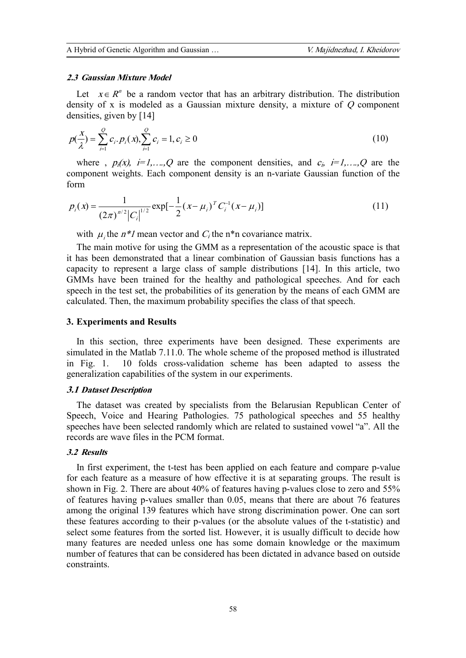#### *2.3 Gaussian Mixture Model*

Let  $x \in R^n$  be a random vector that has an arbitrary distribution. The distribution density of x is modeled as a Gaussian mixture density, a mixture of *Q* component densities, given by [14]

$$
p(\frac{x}{\lambda}) = \sum_{i=1}^{Q} c_i \cdot p_i(x), \sum_{i=1}^{Q} c_i = 1, c_i \ge 0
$$
\n(10)

where ,  $p_i(x)$ ,  $i=1,...,Q$  are the component densities, and  $c_i$ ,  $i=1,...,Q$  are the component weights. Each component density is an n-variate Gaussian function of the form

$$
p_i(x) = \frac{1}{(2\pi)^{n/2} |C_i|^{1/2}} \exp[-\frac{1}{2}(x - \mu_i)^T C_i^{-1}(x - \mu_i)]
$$
\n(11)

with  $\mu_i$ , the *n*<sup>\*</sup>*I* mean vector and *C<sub>i</sub>* the n<sup>\*</sup>n covariance matrix.

The main motive for using the GMM as a representation of the acoustic space is that it has been demonstrated that a linear combination of Gaussian basis functions has a capacity to represent a large class of sample distributions [14]. In this article, two GMMs have been trained for the healthy and pathological speeches. And for each speech in the test set, the probabilities of its generation by the means of each GMM are calculated. Then, the maximum probability specifies the class of that speech.

#### **3. Experiments and Results**

In this section, three experiments have been designed. These experiments are simulated in the Matlab 7.11.0. The whole scheme of the proposed method is illustrated in Fig. 1. 10 folds cross-validation scheme has been adapted to assess the generalization capabilities of the system in our experiments.

#### *3.1 Dataset Description*

The dataset was created by specialists from the Belarusian Republican Center of Speech, Voice and Hearing Pathologies. 75 pathological speeches and 55 healthy speeches have been selected randomly which are related to sustained vowel "a". All the records are wave files in the PCM format.

## *3.2 Results*

In first experiment, the t-test has been applied on each feature and compare p-value for each feature as a measure of how effective it is at separating groups. The result is shown in Fig. 2. There are about 40% of features having p-values close to zero and 55% of features having p-values smaller than 0.05, means that there are about 76 features among the original 139 features which have strong discrimination power. One can sort these features according to their p-values (or the absolute values of the t-statistic) and select some features from the sorted list. However, it is usually difficult to decide how many features are needed unless one has some domain knowledge or the maximum number of features that can be considered has been dictated in advance based on outside constraints.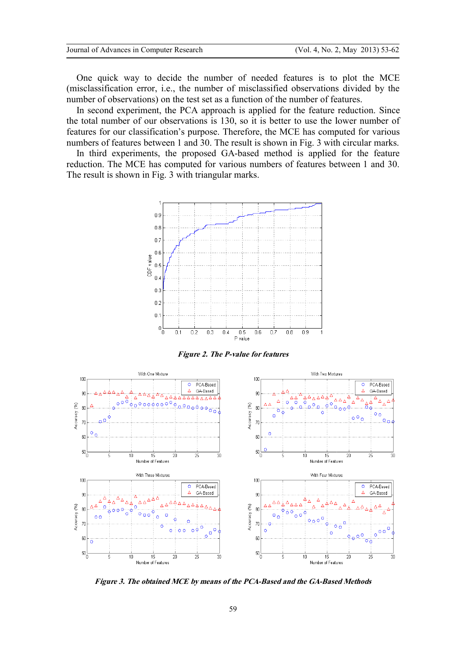One quick way to decide the number of needed features is to plot the MCE (misclassification error, i.e., the number of misclassified observations divided by the number of observations) on the test set as a function of the number of features.

In second experiment, the PCA approach is applied for the feature reduction. Since the total number of our observations is 130, so it is better to use the lower number of features for our classification's purpose. Therefore, the MCE has computed for various features for our classification's purpose. Therefore, the MCE has computed for various numbers of features between 1 and 30. The result is shown in Fig. 3 with circular marks.

In third experiments, the proposed GA-based method is applied for the feature luction. The MCE has computed for various numbers of features between 1 and 30. reduction. The MCE has computed for various numbers of features between The result is shown in Fig. 3 with triangular marks.



*Figure 2. The P-value for features* 



*Figure 3. The obtained MCE by means of th bythe PCA-Based and the GA-Based Method BasedMethods*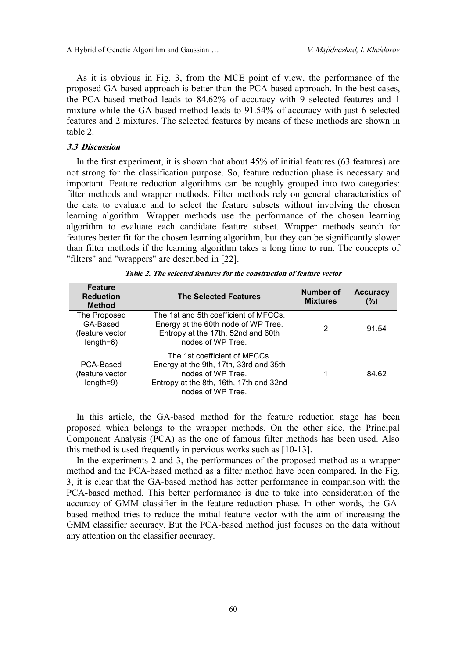As it is obvious in Fig. 3, from the MCE point of view, the performance of the proposed GA-based approach is better than the PCA-based approach. In the best cases, the PCA-based method leads to 84.62% of accuracy with 9 selected features and 1 mixture while the GA-based method leads to 91.54% of accuracy with just 6 selected features and 2 mixtures. The selected features by means of these methods are shown in table 2.

## *3.3 Discussion*

In the first experiment, it is shown that about 45% of initial features (63 features) are not strong for the classification purpose. So, feature reduction phase is necessary and important. Feature reduction algorithms can be roughly grouped into two categories: filter methods and wrapper methods. Filter methods rely on general characteristics of the data to evaluate and to select the feature subsets without involving the chosen learning algorithm. Wrapper methods use the performance of the chosen learning algorithm to evaluate each candidate feature subset. Wrapper methods search for features better fit for the chosen learning algorithm, but they can be significantly slower than filter methods if the learning algorithm takes a long time to run. The concepts of "filters" and "wrappers" are described in [22].

| <b>Feature</b><br><b>Reduction</b><br><b>Method</b>       | <b>The Selected Features</b>                                                                                                                                 | Number of<br><b>Mixtures</b> | <b>Accuracy</b><br>(%) |
|-----------------------------------------------------------|--------------------------------------------------------------------------------------------------------------------------------------------------------------|------------------------------|------------------------|
| The Proposed<br>GA-Based<br>(feature vector<br>$length=6$ | The 1st and 5th coefficient of MFCCs.<br>Energy at the 60th node of WP Tree.<br>Entropy at the 17th, 52nd and 60th<br>nodes of WP Tree.                      | 2                            | 91.54                  |
| PCA-Based<br>(feature vector<br>$length=9$                | The 1st coefficient of MFCCs.<br>Energy at the 9th, 17th, 33rd and 35th<br>nodes of WP Tree.<br>Entropy at the 8th, 16th, 17th and 32nd<br>nodes of WP Tree. |                              | 84.62                  |

*Table 2. The selected features for the construction of feature vector* 

In this article, the GA-based method for the feature reduction stage has been proposed which belongs to the wrapper methods. On the other side, the Principal Component Analysis (PCA) as the one of famous filter methods has been used. Also this method is used frequently in pervious works such as [10-13].

In the experiments 2 and 3, the performances of the proposed method as a wrapper method and the PCA-based method as a filter method have been compared. In the Fig. 3, it is clear that the GA-based method has better performance in comparison with the PCA-based method. This better performance is due to take into consideration of the accuracy of GMM classifier in the feature reduction phase. In other words, the GAbased method tries to reduce the initial feature vector with the aim of increasing the GMM classifier accuracy. But the PCA-based method just focuses on the data without any attention on the classifier accuracy.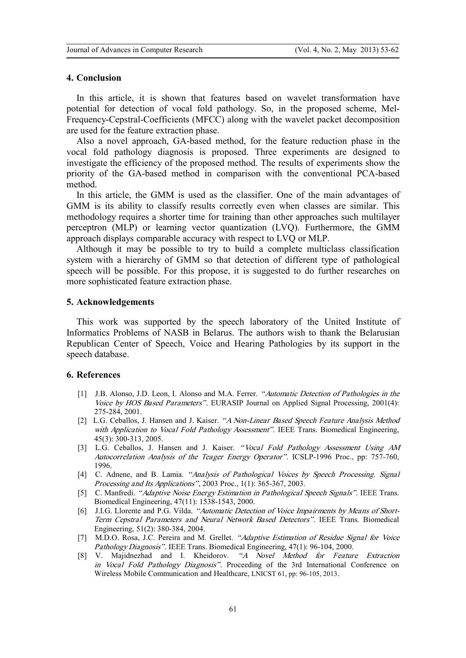## **4. Conclusion**

In this article, it is shown that features based on wavelet transformation have potential for detection of vocal fold pathology. So, in the proposed scheme, Mel-Frequency-Cepstral-Coefficients (MFCC) along with the wavelet packet decomposition are used for the feature extraction phase.

Also a novel approach, GA-based method, for the feature reduction phase in the vocal fold pathology diagnosis is proposed. Three experiments are designed to investigate the efficiency of the proposed method. The results of experiments show the priority of the GA-based method in comparison with the conventional PCA-based method.

In this article, the GMM is used as the classifier. One of the main advantages of GMM is its ability to classify results correctly even when classes are similar. This methodology requires a shorter time for training than other approaches such multilayer perceptron (MLP) or learning vector quantization (LVQ). Furthermore, the GMM approach displays comparable accuracy with respect to LVQ or MLP.

Although it may be possible to try to build a complete multiclass classification system with a hierarchy of GMM so that detection of different type of pathological speech will be possible. For this propose, it is suggested to do further researches on more sophisticated feature extraction phase.

#### **5. Acknowledgements**

This work was supported by the speech laboratory of the United Institute of Informatics Problems of NASB in Belarus. The authors wish to thank the Belarusian Republican Center of Speech, Voice and Hearing Pathologies by its support in the speech database.

### **6. References**

- [1] J.B. Alonso, J.D. Leon, I. Alonso and M.A. Ferrer. *"Automatic Detection of Pathologies in the Voice by HOS Based Parameters"*. EURASIP Journal on Applied Signal Processing, 2001(4): 275-284, 2001.
- [2] L.G. Ceballos, J. Hansen and J. Kaiser. *"<sup>A</sup> Non-Linear Based Speech Feature Analysis Method with Application to Vocal Fold Pathology Assessment"*. IEEE Trans. Biomedical Engineering, 45(3): 300-313, 2005.
- [3] L.G. Ceballos, J. Hansen and J. Kaiser. *"Vocal Fold Pathology Assessment Using AM Autocorrelation Analysis of the Teager Energy Operator"*. ICSLP-1996 Proc., pp: 757-760, 1996.
- [4] C. Adnene, and B. Lamia. *"Analysis of Pathological Voices by Speech Processing. Signal Processing and Its Applications"*, 2003 Proc., 1(1): 365-367, 2003.
- [5] C. Manfredi. *"Adaptive Noise Energy Estimation in Pathological Speech Signals"*. IEEE Trans. Biomedical Engineering, 47(11): 1538-1543, 2000.
- [6] J.I.G. Llorente and P.G. Vilda. *"Automatic Detection of Voice Impairments by Means of Short-Term Cepstral Parameters and Neural Network Based Detectors"*. IEEE Trans. Biomedical Engineering, 51(2): 380-384, 2004.
- [7] M.D.O. Rosa, J.C. Pereira and M. Grellet. *"Adaptive Estimation of Residue Signal for Voice Pathology Diagnosis"*. IEEE Trans. Biomedical Engineering, 47(1): 96-104, 2000.
- [8] V. Majidnezhad and I. Kheidorov. *"<sup>A</sup> Novel Method for Feature Extraction in Vocal Fold Pathology Diagnosis"*. Proceeding of the 3rd International Conference on Wireless Mobile Communication and Healthcare, LNICST 61, pp: 96-105, 2013.